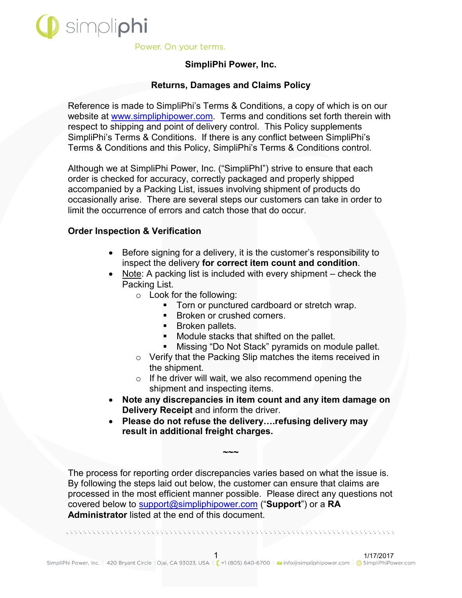

# **SimpliPhi Power, Inc.**

### **Returns, Damages and Claims Policy**

Reference is made to SimpliPhi's Terms & Conditions, a copy of which is on our website at [www.simpliphipower.com.](http://www.simpliphipower.com/) Terms and conditions set forth therein with respect to shipping and point of delivery control. This Policy supplements SimpliPhi's Terms & Conditions. If there is any conflict between SimpliPhi's Terms & Conditions and this Policy, SimpliPhi's Terms & Conditions control.

Although we at SimpliPhi Power, Inc. ("SimpliPhI") strive to ensure that each order is checked for accuracy, correctly packaged and properly shipped accompanied by a Packing List, issues involving shipment of products do occasionally arise. There are several steps our customers can take in order to limit the occurrence of errors and catch those that do occur.

### **Order Inspection & Verification**

- $\bullet$  Before signing for a delivery, it is the customer's responsibility to inspect the delivery **for correct item count and condition**.
- $\bullet$  Note: A packing list is included with every shipment check the Packing List.
	- o Look for the following:
		- Torn or punctured cardboard or stretch wrap.
		- **Broken or crushed corners.**
		- **Broken pallets.**
		- Module stacks that shifted on the pallet.
		- Missing "Do Not Stack" pyramids on module pallet.
	- o Verify that the Packing Slip matches the items received in the shipment.
	- o If he driver will wait, we also recommend opening the shipment and inspecting items.
- x **Note any discrepancies in item count and any item damage on Delivery Receipt** and inform the driver.
- **Please do not refuse the delivery.... refusing delivery may result in additional freight charges.**

The process for reporting order discrepancies varies based on what the issue is. By following the steps laid out below, the customer can ensure that claims are processed in the most efficient manner possible. Please direct any questions not covered below to [support@simpliphipower.com](mailto:support@simpliphipower.com) ("**Support**") or a **RA Administrator** listed at the end of this document.

**~~~**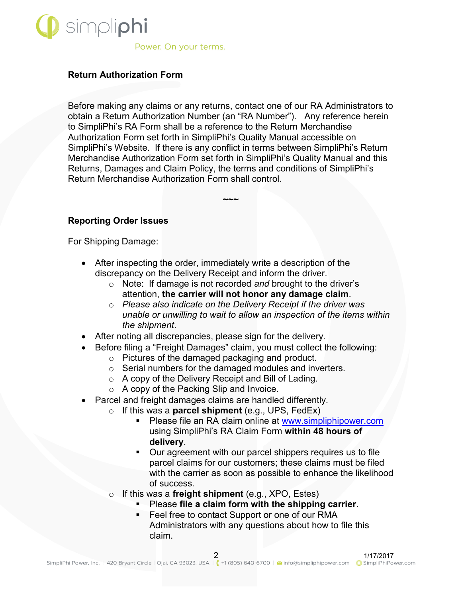

### **Return Authorization Form**

Before making any claims or any returns, contact one of our RA Administrators to obtain a Return Authorization Number (an "RA Number"). Any reference herein to SimpliPhi's RA Form shall be a reference to the Return Merchandise Authorization Form set forth in SimpliPhi's Quality Manual accessible on SimpliPhi's Website. If there is any conflict in terms between SimpliPhi's Return Merchandise Authorization Form set forth in SimpliPhi's Quality Manual and this Returns, Damages and Claim Policy, the terms and conditions of SimpliPhi's Return Merchandise Authorization Form shall control.

**~~~**

### **Reporting Order Issues**

For Shipping Damage:

- $\bullet$  After inspecting the order, immediately write a description of the discrepancy on the Delivery Receipt and inform the driver.
	- o Note: If damage is not recorded *and* brought to the driver's attention, **the carrier will not honor any damage claim**.
	- o *Please also indicate on the Delivery Receipt if the driver was unable or unwilling to wait to allow an inspection of the items within the shipment*.
- After noting all discrepancies, please sign for the delivery.
- Before filing a "Freight Damages" claim, you must collect the following:
	- o Pictures of the damaged packaging and product.
	- o Serial numbers for the damaged modules and inverters.
	- o A copy of the Delivery Receipt and Bill of Lading.
	- o A copy of the Packing Slip and Invoice.
- Parcel and freight damages claims are handled differently.
	- o If this was a **parcel shipment** (e.g., UPS, FedEx)
		- Please file an RA claim online at [www.simpliphipower.com](http://www.simpliphipower.com/) using SimpliPhi's RA Claim Form **within 48 hours of delivery**.
		- Our agreement with our parcel shippers requires us to file parcel claims for our customers; these claims must be filed with the carrier as soon as possible to enhance the likelihood of success.
	- o If this was a **freight shipment** (e.g., XPO, Estes)
		- Please **file a claim form with the shipping carrier**.
		- **Feel free to contact Support or one of our RMA** Administrators with any questions about how to file this claim.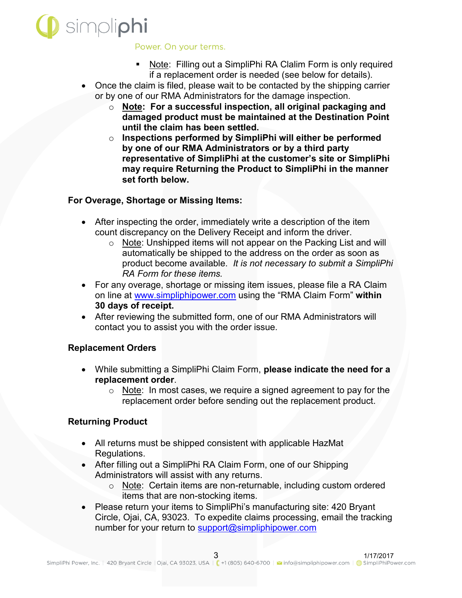

- Note: Filling out a SimpliPhi RA Clalim Form is only required if a replacement order is needed (see below for details).
- Once the claim is filed, please wait to be contacted by the shipping carrier or by one of our RMA Administrators for the damage inspection.
	- o **Note: For a successful inspection, all original packaging and damaged product must be maintained at the Destination Point until the claim has been settled.**
	- o **Inspections performed by SimpliPhi will either be performed by one of our RMA Administrators or by a third party representative of SimpliPhi at the customer's site or SimpliPhi may require Returning the Product to SimpliPhi in the manner set forth below.**

### **For Overage, Shortage or Missing Items:**

- $\bullet$  After inspecting the order, immediately write a description of the item count discrepancy on the Delivery Receipt and inform the driver.
	- o Note: Unshipped items will not appear on the Packing List and will automatically be shipped to the address on the order as soon as product become available. *It is not necessary to submit a SimpliPhi RA Form for these items.*
- For any overage, shortage or missing item issues, please file a RA Claim on line at [www.simpliphipower.com](http://www.simpliphipower.com/) using the "RMA Claim Form" **within 30 days of receipt.**
- After reviewing the submitted form, one of our RMA Administrators will contact you to assist you with the order issue.

# **Replacement Orders**

- x While submitting a SimpliPhi Claim Form, **please indicate the need for a replacement order**.
	- o Note: In most cases, we require a signed agreement to pay for the replacement order before sending out the replacement product.

# **Returning Product**

- All returns must be shipped consistent with applicable HazMat Regulations.
- After filling out a SimpliPhi RA Claim Form, one of our Shipping Administrators will assist with any returns.
	- o Note: Certain items are non-returnable, including custom ordered items that are non-stocking items.
- Please return your items to SimpliPhi's manufacturing site: 420 Bryant Circle, Ojai, CA, 93023. To expedite claims processing, email the tracking number for your return to [support@simpliphipower.com](mailto:support@simpliphipower.com)